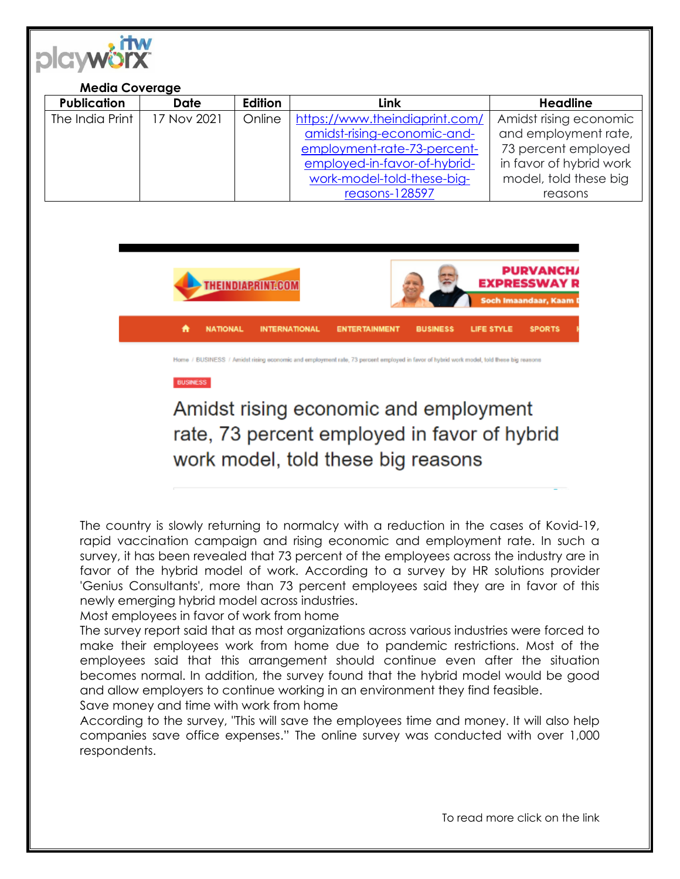

#### **Media Coverage Publication Date Edition Link Headline**  The India Print | 17 Nov 2021 | Online | [https://www.theindiaprint.com/](https://www.theindiaprint.com/amidst-rising-economic-and-employment-rate-73-percent-employed-in-favor-of-hybrid-work-model-told-these-big-reasons-128597) [amidst-rising-economic-and](https://www.theindiaprint.com/amidst-rising-economic-and-employment-rate-73-percent-employed-in-favor-of-hybrid-work-model-told-these-big-reasons-128597)[employment-rate-73-percent](https://www.theindiaprint.com/amidst-rising-economic-and-employment-rate-73-percent-employed-in-favor-of-hybrid-work-model-told-these-big-reasons-128597)[employed-in-favor-of-hybrid](https://www.theindiaprint.com/amidst-rising-economic-and-employment-rate-73-percent-employed-in-favor-of-hybrid-work-model-told-these-big-reasons-128597)[work-model-told-these-big](https://www.theindiaprint.com/amidst-rising-economic-and-employment-rate-73-percent-employed-in-favor-of-hybrid-work-model-told-these-big-reasons-128597)[reasons-128597](https://www.theindiaprint.com/amidst-rising-economic-and-employment-rate-73-percent-employed-in-favor-of-hybrid-work-model-told-these-big-reasons-128597) Amidst rising economic and employment rate, 73 percent employed in favor of hybrid work model, told these big reasons



### **BUSINESS**

# Amidst rising economic and employment rate, 73 percent employed in favor of hybrid work model, told these big reasons

The country is slowly returning to normalcy with a reduction in the cases of Kovid-19, rapid vaccination campaign and rising economic and employment rate. In such a survey, it has been revealed that 73 percent of the employees across the industry are in favor of the hybrid model of work. According to a survey by HR solutions provider 'Genius Consultants', more than 73 percent employees said they are in favor of this newly emerging hybrid model across industries.

### Most employees in favor of work from home

The survey report said that as most organizations across various industries were forced to make their employees work from home due to pandemic restrictions. Most of the employees said that this arrangement should continue even after the situation becomes normal. In addition, the survey found that the hybrid model would be good and allow employers to continue working in an environment they find feasible.

## Save money and time with work from home

According to the survey, "This will save the employees time and money. It will also help companies save office expenses." The online survey was conducted with over 1,000 respondents.